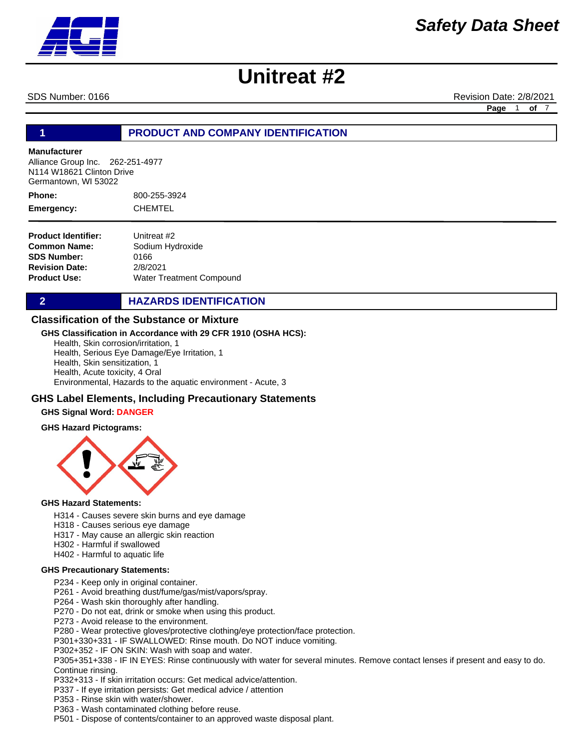SDS Number: 0166 **Revision Date: 2/8/2021** Revision Date: 2/8/2021

**Page** 1 **of** 7

# **1 PRODUCT AND COMPANY IDENTIFICATION**

#### **Manufacturer**

Alliance Group Inc. 262-251-4977 N114 W18621 Clinton Drive Germantown, WI 53022

800-255-3924 CHEMTEL **Phone: Emergency:**

**Product Identifier: Common Name: SDS Number: Revision Date: Product Use:** Unitreat #2 Sodium Hydroxide 0166 2/8/2021 Water Treatment Compound

**2 HAZARDS IDENTIFICATION** 

### **Classification of the Substance or Mixture**

#### **GHS Classification in Accordance with 29 CFR 1910 (OSHA HCS):**

Health, Skin corrosion/irritation, 1 Health, Serious Eye Damage/Eye Irritation, 1 Health, Skin sensitization, 1 Health, Acute toxicity, 4 Oral Environmental, Hazards to the aquatic environment - Acute, 3

## **GHS Label Elements, Including Precautionary Statements**

#### **GHS Signal Word: DANGER**

#### **GHS Hazard Pictograms:**



#### **GHS Hazard Statements:**

- H314 Causes severe skin burns and eye damage
- H318 Causes serious eye damage
- H317 May cause an allergic skin reaction
- H302 Harmful if swallowed
- H402 Harmful to aquatic life

### **GHS Precautionary Statements:**

- P234 Keep only in original container.
- P261 Avoid breathing dust/fume/gas/mist/vapors/spray.
- P264 Wash skin thoroughly after handling.
- P270 Do not eat, drink or smoke when using this product.
- P273 Avoid release to the environment.
- P280 Wear protective gloves/protective clothing/eye protection/face protection.
- P301+330+331 IF SWALLOWED: Rinse mouth. Do NOT induce vomiting.
- P302+352 IF ON SKIN: Wash with soap and water.
- P305+351+338 IF IN EYES: Rinse continuously with water for several minutes. Remove contact lenses if present and easy to do. Continue rinsing.
- P332+313 If skin irritation occurs: Get medical advice/attention.
- P337 If eye irritation persists: Get medical advice / attention
- P353 Rinse skin with water/shower.
- P363 Wash contaminated clothing before reuse.
- P501 Dispose of contents/container to an approved waste disposal plant.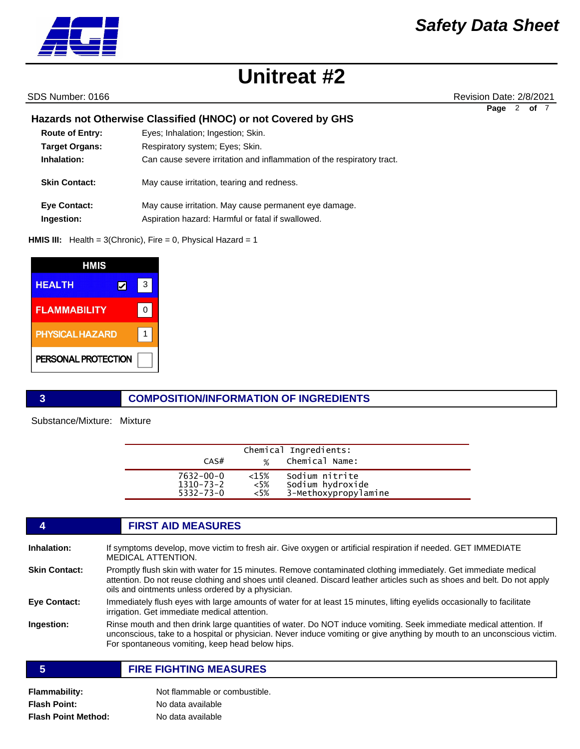

SDS Number: 0166 Revision Date: 2/8/2021

**Page** 2 **of** 7

# **Hazards not Otherwise Classified (HNOC) or not Covered by GHS**

| <b>Route of Entry:</b> | Eyes; Inhalation; Ingestion; Skin.                                     |
|------------------------|------------------------------------------------------------------------|
| <b>Target Organs:</b>  | Respiratory system; Eyes; Skin.                                        |
| Inhalation:            | Can cause severe irritation and inflammation of the respiratory tract. |
| <b>Skin Contact:</b>   | May cause irritation, tearing and redness.                             |
| <b>Eye Contact:</b>    | May cause irritation. May cause permanent eye damage.                  |
| Ingestion:             | Aspiration hazard: Harmful or fatal if swallowed.                      |

**HMIS III:** Health = 3(Chronic), Fire = 0, Physical Hazard = 1

| HMIS                   |   |   |
|------------------------|---|---|
| <b>HEALTH</b>          | V | 3 |
| <b>FLAMMABILITY</b>    |   |   |
| <b>PHYSICAL HAZARD</b> |   |   |
| PERSONAL PROTECTION    |   |   |

## **3 COMPOSITION/INFORMATION OF INGREDIENTS**

Substance/Mixture: Mixture

L.

| CAS#            | $\frac{1}{2}$ | Chemical Ingredients:<br>Chemical Name: |  |
|-----------------|---------------|-----------------------------------------|--|
| $7632 - 00 - 0$ | $<15\%$       | Sodium nitrite                          |  |
| $1310 - 73 - 2$ | <5%           | Sodium hydroxide                        |  |
| $5332 - 73 - 0$ | <5%           | 3-Methoxypropylamine                    |  |

| 4                    | <b>FIRST AID MEASURES</b>                                                                                                                                                                                                                                                                        |
|----------------------|--------------------------------------------------------------------------------------------------------------------------------------------------------------------------------------------------------------------------------------------------------------------------------------------------|
| Inhalation:          | If symptoms develop, move victim to fresh air. Give oxygen or artificial respiration if needed. GET IMMEDIATE<br><b>MEDICAL ATTENTION.</b>                                                                                                                                                       |
| <b>Skin Contact:</b> | Promptly flush skin with water for 15 minutes. Remove contaminated clothing immediately. Get immediate medical<br>attention. Do not reuse clothing and shoes until cleaned. Discard leather articles such as shoes and belt. Do not apply<br>oils and ointments unless ordered by a physician.   |
| Eye Contact:         | Immediately flush eves with large amounts of water for at least 15 minutes, lifting evelids occasionally to facilitate<br>irrigation. Get immediate medical attention.                                                                                                                           |
| Ingestion:           | Rinse mouth and then drink large quantities of water. Do NOT induce vomiting. Seek immediate medical attention. If<br>unconscious, take to a hospital or physician. Never induce vomiting or give anything by mouth to an unconscious victim.<br>For spontaneous vomiting, keep head below hips. |
| 5                    | <b>FIRE FIGHTING MEASURES</b>                                                                                                                                                                                                                                                                    |
|                      |                                                                                                                                                                                                                                                                                                  |

| <b>Flammability:</b>       | Not flammable or combustible. |
|----------------------------|-------------------------------|
| <b>Flash Point:</b>        | No data available             |
| <b>Flash Point Method:</b> | No data available             |

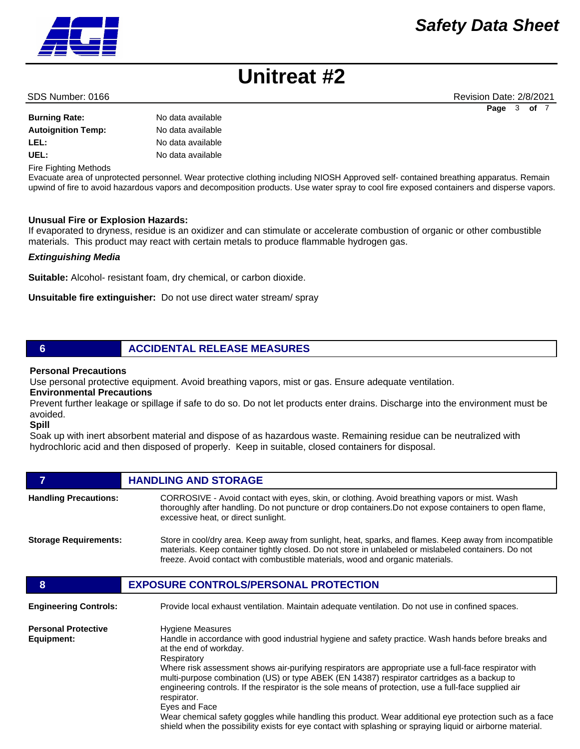# *Safety Data Sheet*



#### **Burning Rate:** No data available

# **Autoignition Temp:** No data available **LEL:** No data available UEL: UEL: No data available

Fire Fighting Methods

Evacuate area of unprotected personnel. Wear protective clothing including NIOSH Approved self- contained breathing apparatus. Remain upwind of fire to avoid hazardous vapors and decomposition products. Use water spray to cool fire exposed containers and disperse vapors.

#### **Unusual Fire or Explosion Hazards:**

If evaporated to dryness, residue is an oxidizer and can stimulate or accelerate combustion of organic or other combustible materials. This product may react with certain metals to produce flammable hydrogen gas.

#### *Extinguishing Media*

**Suitable:** Alcohol- resistant foam, dry chemical, or carbon dioxide.

**Unsuitable fire extinguisher:** Do not use direct water stream/ spray

## **6 ACCIDENTAL RELEASE MEASURES**

### **Personal Precautions**

Use personal protective equipment. Avoid breathing vapors, mist or gas. Ensure adequate ventilation.

### **Environmental Precautions**

Prevent further leakage or spillage if safe to do so. Do not let products enter drains. Discharge into the environment must be avoided.

**Spill** 

Soak up with inert absorbent material and dispose of as hazardous waste. Remaining residue can be neutralized with hydrochloric acid and then disposed of properly. Keep in suitable, closed containers for disposal.

# **7 HANDLING AND STORAGE Handling Precautions:** CORROSIVE - Avoid contact with eyes, skin, or clothing. Avoid breathing vapors or mist. Wash thoroughly after handling. Do not puncture or drop containers.Do not expose containers to open flame, excessive heat, or direct sunlight. **Storage Requirements:** Store in cool/dry area. Keep away from sunlight, heat, sparks, and flames. Keep away from incompatible materials. Keep container tightly closed. Do not store in unlabeled or mislabeled containers. Do not freeze. Avoid contact with combustible materials, wood and organic materials. **8 EXPOSURE CONTROLS/PERSONAL PROTECTION Engineering Controls:** Provide local exhaust ventilation. Maintain adequate ventilation. Do not use in confined spaces. **Personal Protective Equipment:** Hygiene Measures Handle in accordance with good industrial hygiene and safety practice. Wash hands before breaks and at the end of workday. **Respiratory** Where risk assessment shows air-purifying respirators are appropriate use a full-face respirator with multi-purpose combination (US) or type ABEK (EN 14387) respirator cartridges as a backup to engineering controls. If the respirator is the sole means of protection, use a full-face supplied air

respirator. Eyes and Face Wear chemical safety goggles while handling this product. Wear additional eye protection such as a face shield when the possibility exists for eye contact with splashing or spraying liquid or airborne material.



SDS Number: 0166 **Revision Date: 2/8/2021** Revision Date: 2/8/2021 **Page** 3 **of** 7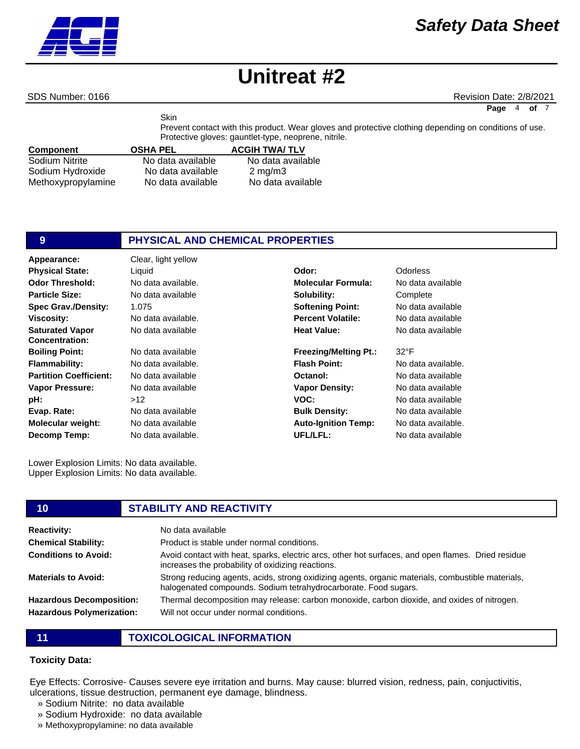**Particle Size:**

**Boiling Point: Flammability:**

**Evap. Rate:**

**Viscosity:**

**pH:**

SDS Number: 0166 **Revision Date: 2/8/2021** Revision Date: 2/8/2021

**Page** 4 **of** 

Component **OSHA PEL ACGIH TWA/ TLV** Sodium Nitrite **No data available** No data available Skin Prevent contact with this product. Wear gloves and protective clothing depending on conditions of use. Protective gloves: gauntlet-type, neoprene, nitrile.

| Sudiditi Nitrite   | <u>ino data avaliable</u> | <u>ino data avaliable</u> |
|--------------------|---------------------------|---------------------------|
| Sodium Hydroxide   | No data available         | $2 \text{ ma/m}$ 3        |
| Methoxypropylamine | No data available         | No data available         |

# **9 PHYSICAL AND CHEMICAL PROPERTIES**

**Appearance:** Clear, light yellow No data available 1.075 No data available. No data available No data available No data available. No data available No data available  $\sim$ 12 No data available No data available No data available. **Odor Threshold: Spec Grav./Density: Saturated Vapor Concentration: Partition Coefficient: Vapor Pressure: Molecular weight: Decomp Temp: Physical State:** Liquid **Odor:** Odorless

Lower Explosion Limits: No data available. Upper Explosion Limits: No data available.

# No data available. **Molecular Formula:** No data available **Solubility: Softening Point: Percent Volatile: Heat Value:**

**Freezing/Melting Pt.: Flash Point: Octanol: Vapor Density: VOC: Bulk Density: Auto-Ignition Temp: UFL/LFL:**

**Complete** No data available No data available No data available

#### 32°F

No data available. No data available No data available No data available No data available No data available. No data available

**10 STABILITY AND REACTIVITY**

#### **Reactivity:** No data available **Chemical Stability: Conditions to Avoid: Materials to Avoid: Hazardous Decomposition: Hazardous Polymerization:** Product is stable under normal conditions. Avoid contact with heat, sparks, electric arcs, other hot surfaces, and open flames. Dried residue increases the probability of oxidizing reactions. Strong reducing agents, acids, strong oxidizing agents, organic materials, combustible materials, halogenated compounds. Sodium tetrahydrocarborate. Food sugars. Thermal decomposition may release: carbon monoxide, carbon dioxide, and oxides of nitrogen. Will not occur under normal conditions.

**11 TOXICOLOGICAL INFORMATION**

## **Toxicity Data:**

Eye Effects: Corrosive- Causes severe eye irritation and burns. May cause: blurred vision, redness, pain, conjuctivitis, ulcerations, tissue destruction, permanent eye damage, blindness.

- » Sodium Nitrite: no data available
- » Sodium Hydroxide: no data available
- » Methoxypropylamine: no data available

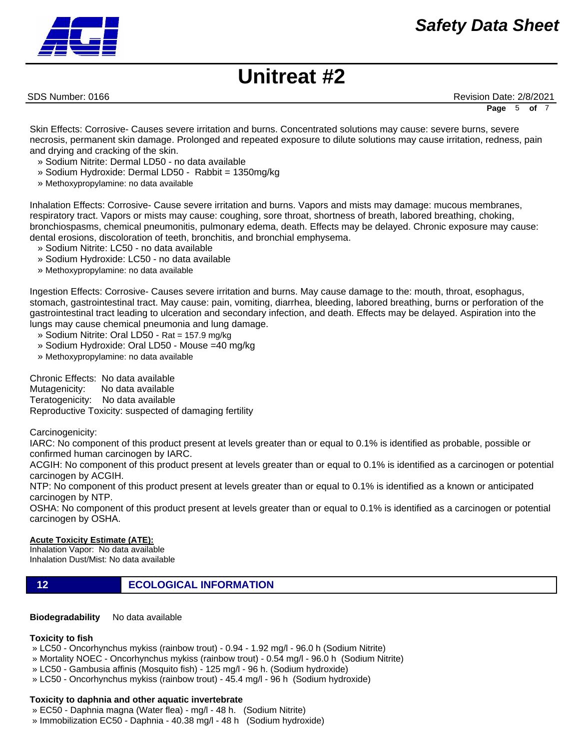SDS Number: 0166 **Revision Date: 2/8/2021** Revision Date: 2/8/2021

**Page** 5 **of** 7

Skin Effects: Corrosive- Causes severe irritation and burns. Concentrated solutions may cause: severe burns, severe necrosis, permanent skin damage. Prolonged and repeated exposure to dilute solutions may cause irritation, redness, pain and drying and cracking of the skin.

- » Sodium Nitrite: Dermal LD50 no data available
- » Sodium Hydroxide: Dermal LD50 Rabbit = 1350mg/kg
- » Methoxypropylamine: no data available

Inhalation Effects: Corrosive- Cause severe irritation and burns. Vapors and mists may damage: mucous membranes, respiratory tract. Vapors or mists may cause: coughing, sore throat, shortness of breath, labored breathing, choking, bronchiospasms, chemical pneumonitis, pulmonary edema, death. Effects may be delayed. Chronic exposure may cause: dental erosions, discoloration of teeth, bronchitis, and bronchial emphysema.

- » Sodium Nitrite: LC50 no data available
- » Sodium Hydroxide: LC50 no data available
- » Methoxypropylamine: no data available

Ingestion Effects: Corrosive- Causes severe irritation and burns. May cause damage to the: mouth, throat, esophagus, stomach, gastrointestinal tract. May cause: pain, vomiting, diarrhea, bleeding, labored breathing, burns or perforation of the gastrointestinal tract leading to ulceration and secondary infection, and death. Effects may be delayed. Aspiration into the lungs may cause chemical pneumonia and lung damage.

- » Sodium Nitrite: Oral LD50 Rat = 157.9 mg/kg
- » Sodium Hydroxide: Oral LD50 Mouse =40 mg/kg
- » Methoxypropylamine: no data available

Chronic Effects: No data available Mutagenicity: No data available Teratogenicity: No data available Reproductive Toxicity: suspected of damaging fertility

Carcinogenicity:

IARC: No component of this product present at levels greater than or equal to 0.1% is identified as probable, possible or confirmed human carcinogen by IARC.

ACGIH: No component of this product present at levels greater than or equal to 0.1% is identified as a carcinogen or potential carcinogen by ACGIH.

NTP: No component of this product present at levels greater than or equal to 0.1% is identified as a known or anticipated carcinogen by NTP.

OSHA: No component of this product present at levels greater than or equal to 0.1% is identified as a carcinogen or potential carcinogen by OSHA.

#### **Acute Toxicity Estimate (ATE):**

Inhalation Vapor: No data available Inhalation Dust/Mist: No data available

**12 ECOLOGICAL INFORMATION** 

**Biodegradability** No data available

#### **Toxicity to fish**

» LC50 - Oncorhynchus mykiss (rainbow trout) - 0.94 - 1.92 mg/l - 96.0 h (Sodium Nitrite)

- » Mortality NOEC Oncorhynchus mykiss (rainbow trout) 0.54 mg/l 96.0 h (Sodium Nitrite)
- » LC50 Gambusia affinis (Mosquito fish) 125 mg/l 96 h. (Sodium hydroxide)
- » LC50 Oncorhynchus mykiss (rainbow trout) 45.4 mg/l 96 h (Sodium hydroxide)

### **Toxicity to daphnia and other aquatic invertebrate**

- » EC50 Daphnia magna (Water flea) mg/l 48 h. (Sodium Nitrite)
- » Immobilization EC50 Daphnia 40.38 mg/l 48 h (Sodium hydroxide)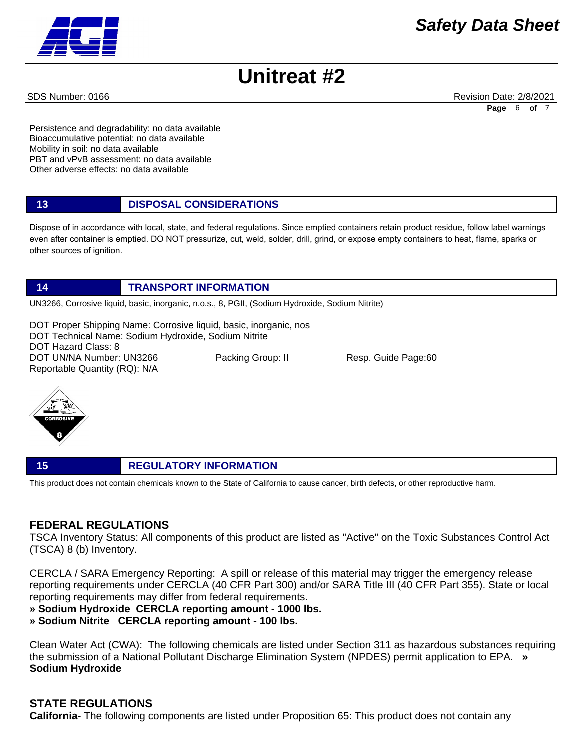

SDS Number: 0166 **Revision Date: 2/8/2021** Revision Date: 2/8/2021 **Page** 6 **of** 7

Persistence and degradability: no data available Bioaccumulative potential: no data available Mobility in soil: no data available PBT and vPvB assessment: no data available Other adverse effects: no data available

| 13 | <b>DISPOSAL CONSIDERATIONS</b> |
|----|--------------------------------|
|----|--------------------------------|

Dispose of in accordance with local, state, and federal regulations. Since emptied containers retain product residue, follow label warnings even after container is emptied. DO NOT pressurize, cut, weld, solder, drill, grind, or expose empty containers to heat, flame, sparks or other sources of ignition.

## **14 TRANSPORT INFORMATION**

UN3266, Corrosive liquid, basic, inorganic, n.o.s., 8, PGII, (Sodium Hydroxide, Sodium Nitrite)

DOT Proper Shipping Name: Corrosive liquid, basic, inorganic, nos DOT Technical Name: Sodium Hydroxide, Sodium Nitrite DOT Hazard Class: 8 DOT UN/NA Number: UN3266 Packing Group: II Resp. Guide Page:60 Reportable Quantity (RQ): N/A



### **15 REGULATORY INFORMATION**

This product does not contain chemicals known to the State of California to cause cancer, birth defects, or other reproductive harm.

# **FEDERAL REGULATIONS**

TSCA Inventory Status: All components of this product are listed as "Active" on the Toxic Substances Control Act (TSCA) 8 (b) Inventory.

CERCLA / SARA Emergency Reporting: A spill or release of this material may trigger the emergency release reporting requirements under CERCLA (40 CFR Part 300) and/or SARA Title III (40 CFR Part 355). State or local reporting requirements may differ from federal requirements.

**» Sodium Hydroxide CERCLA reporting amount - 1000 lbs.** 

**» Sodium Nitrite CERCLA reporting amount - 100 lbs.**

Clean Water Act (CWA): The following chemicals are listed under Section 311 as hazardous substances requiring the submission of a National Pollutant Discharge Elimination System (NPDES) permit application to EPA. **» Sodium Hydroxide**

# **STATE REGULATIONS**

**California-** The following components are listed under Proposition 65: This product does not contain any